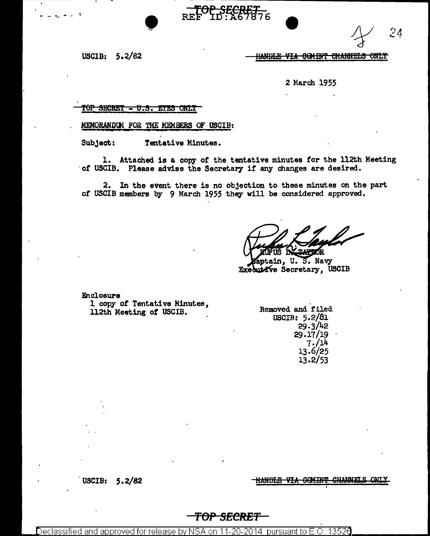$2<sub>d</sub>$ 

USCIB:  $5.2/82$ 

#### HANDLE-VIA COMINT CHANNELS ONLY

2 March 1955

SECRET <del>- U.S. EYES ONLY</del> rep

MEMORANDUM FOR THE MEMBERS OF USCIB:

Subject: Tentative Minutes.

1. Attached is a copy of the tentative minutes for the 112th Meeting of USCIB. Please advise the Secretary if any changes are desired.

<del>2 SECRIT -</del>

2. In the event there is no objection to these minutes on the part of USCIB members by 9 March 1955 they will be considered approved.

**PZÓR** 

Zaptain, U.S. Navy Executive Secretary, USCIB

Enclosure

1 copy of Tentative Minutes, 112th Meeting of USCIB.

Removed and filed USCIB: 5.2/81  $29.3/42$ 29.17/19  $7.714$ 13.6/25  $13.2/53$ 

HANDLE VIA COMINT CHANNELS **ONT Y** 

USCIB:  $5.2/82$ 

<del>TOP SECRET</del>

13526 Declas approved for release <u>pursuant to E.O.</u> nn.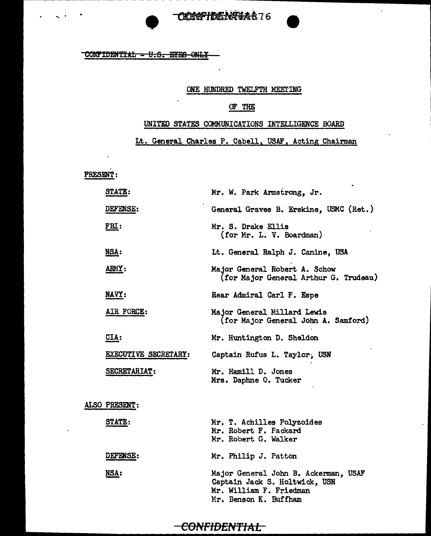# CERTIFICATIONS **ORECFIELE NAGA & 76**

#### $COMFIDENTIAL - U.S.$  EYES ONLY

#### ONE HUNDRED TWELFTH MEETING

 $\mathcal{A}$ 

#### OF THE

#### UNITED STATES COMMUNICATIONS INTELLIGENCE BOARD

Lt. General Charles P. Cabell, USAF, Acting Chairman

PRESENT:

| <b>STATE:</b>        | Mr. W. Park Armstrong, Jr.                                                                                                |
|----------------------|---------------------------------------------------------------------------------------------------------------------------|
| DEFENSE:             | General Graves B. Erskine, USMC (Ret.)                                                                                    |
| <u>FBI:</u>          | Mr. S. Drake Ellis<br>(for Mr. L. V. Boardman)                                                                            |
| <u>NSA:</u>          | Lt. General Ralph J. Canine, USA                                                                                          |
| ARMY:                | Major General Robert A. Schow<br>(for Major General Arthur G. Trudeau)                                                    |
| NAVY:                | Rear Admiral Carl F. Espe                                                                                                 |
| AIR FORCE:           | Major General Millard Lewis<br>(for Major General John A. Samford)                                                        |
| CIA:                 | Mr. Huntington D. Sheldon                                                                                                 |
| EXECUTIVE SECRETARY: | Captain Rufus L. Taylor, USN                                                                                              |
| SECRETARIAT:         | Mr. Hamill D. Jones<br>Mrs. Daphne O. Tucker                                                                              |
| ALSO PRESENT:        |                                                                                                                           |
| <b>STATE:</b>        | Mr. T. Achilles Polyzoides<br>Mr. Robert F. Packard<br>Mr. Robert G. Walker                                               |
| <b>DEFENSE:</b>      | Mr. Philip J. Patton                                                                                                      |
| <u>NSA:</u>          | Major General John B. Ackerman, USAF<br>Captain Jack S. Holtwick, USN<br>Mr. William F. Friedman<br>Mr. Benson K. Buffham |

### -CONFIDENTIAL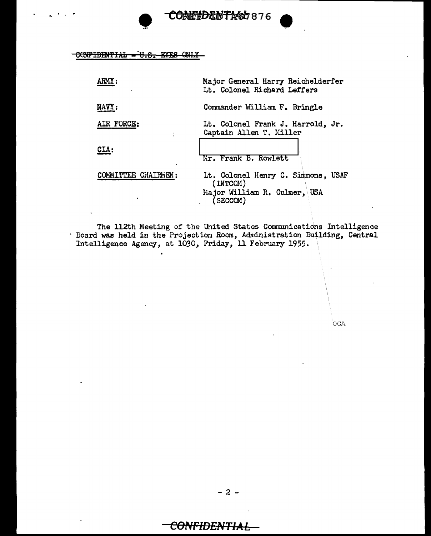**CONETDENTA&b876** 

CONFIDENTIAL - U.S. EYES ONLY

| ARMY:               | Major General Harry Reichelderfer<br>Lt. Colonel Richard Leffers                           |
|---------------------|--------------------------------------------------------------------------------------------|
| NAVY:               | Commander William F. Bringle                                                               |
| AIR FORCE:          | Lt. Colonel Frank J. Harrold, Jr.<br>Captain Allen T. Miller                               |
| CIA:                | Mr. Frank B. Rowlett                                                                       |
| COMMITTEE CHAIRMEN: | Lt. Colonel Henry C. Simmons, USAF<br>(INTCOM)<br>Major William R. Culmer, USA<br>(SECCOM) |

The 112th Meeting of the United States Communications Intelligence<br>Board was held in the Projection Room, Administration Building, Central<br>Intelligence Agency, at 1030, Friday, 11 February 1955.

OGA

## CONFIDENTIAL